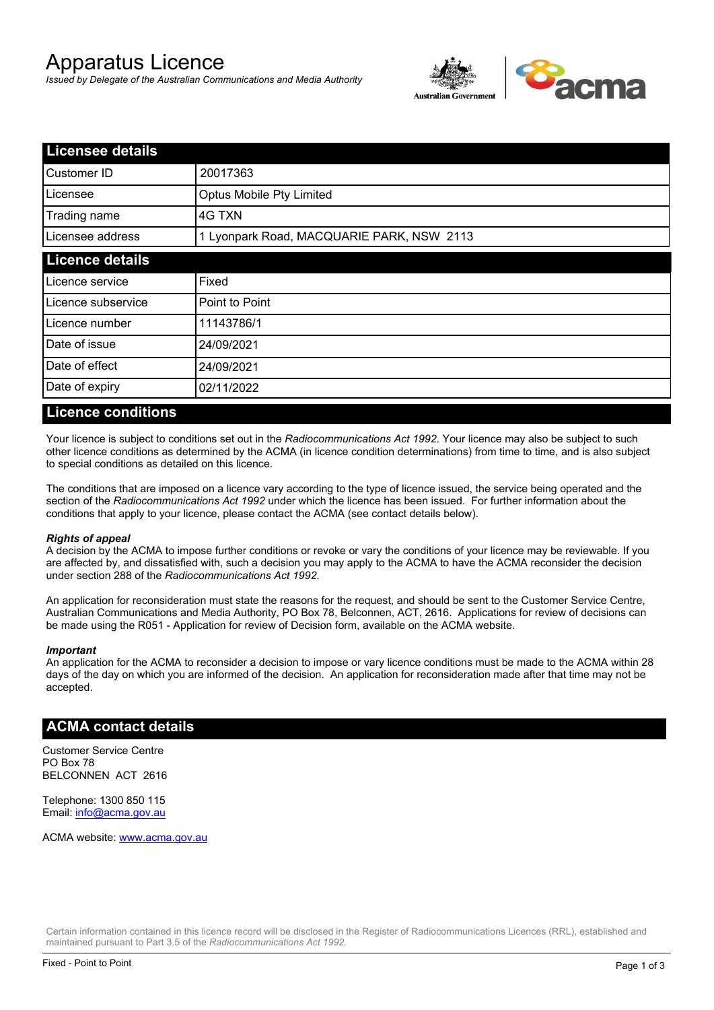# Apparatus Licence

*Issued by Delegate of the Australian Communications and Media Authority*



| <b>Licensee details</b> |                                           |  |
|-------------------------|-------------------------------------------|--|
| Customer ID             | 20017363                                  |  |
| Licensee                | Optus Mobile Pty Limited                  |  |
| Trading name            | 4G TXN                                    |  |
| Licensee address        | 1 Lyonpark Road, MACQUARIE PARK, NSW 2113 |  |
| <b>Licence details</b>  |                                           |  |
| Licence service         | Fixed                                     |  |
| Licence subservice      | Point to Point                            |  |
| Licence number          | 11143786/1                                |  |
| Date of issue           | 24/09/2021                                |  |
| Date of effect          | 24/09/2021                                |  |
| Date of expiry          | 02/11/2022                                |  |

#### **Licence conditions**

Your licence is subject to conditions set out in the *Radiocommunications Act 1992*. Your licence may also be subject to such other licence conditions as determined by the ACMA (in licence condition determinations) from time to time, and is also subject to special conditions as detailed on this licence.

The conditions that are imposed on a licence vary according to the type of licence issued, the service being operated and the section of the *Radiocommunications Act 1992* under which the licence has been issued. For further information about the conditions that apply to your licence, please contact the ACMA (see contact details below).

#### *Rights of appeal*

A decision by the ACMA to impose further conditions or revoke or vary the conditions of your licence may be reviewable. If you are affected by, and dissatisfied with, such a decision you may apply to the ACMA to have the ACMA reconsider the decision under section 288 of the *Radiocommunications Act 1992*.

An application for reconsideration must state the reasons for the request, and should be sent to the Customer Service Centre, Australian Communications and Media Authority, PO Box 78, Belconnen, ACT, 2616. Applications for review of decisions can be made using the R051 - Application for review of Decision form, available on the ACMA website.

#### *Important*

An application for the ACMA to reconsider a decision to impose or vary licence conditions must be made to the ACMA within 28 days of the day on which you are informed of the decision. An application for reconsideration made after that time may not be accepted.

### **ACMA contact details**

Customer Service Centre PO Box 78 BELCONNEN ACT 2616

Telephone: 1300 850 115 Email: info@acma.gov.au

ACMA website: www.acma.gov.au

Certain information contained in this licence record will be disclosed in the Register of Radiocommunications Licences (RRL), established and maintained pursuant to Part 3.5 of the *Radiocommunications Act 1992.*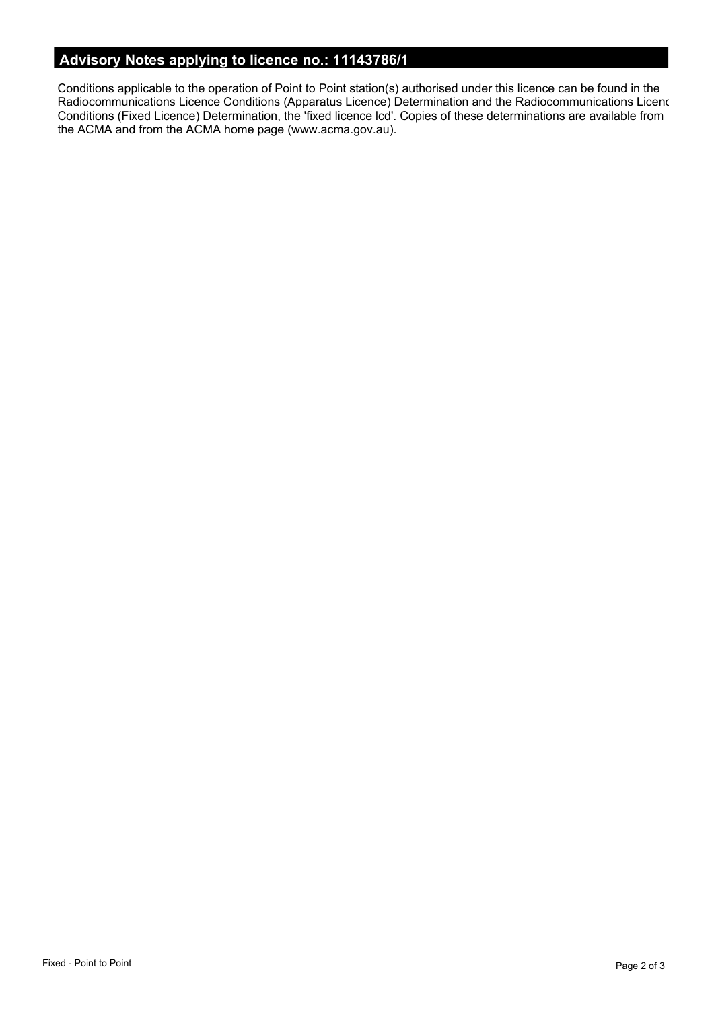# **Advisory Notes applying to licence no.: 11143786/1**

Conditions applicable to the operation of Point to Point station(s) authorised under this licence can be found in the Radiocommunications Licence Conditions (Apparatus Licence) Determination and the Radiocommunications Licence Conditions (Fixed Licence) Determination, the 'fixed licence lcd'. Copies of these determinations are available from the ACMA and from the ACMA home page (www.acma.gov.au).